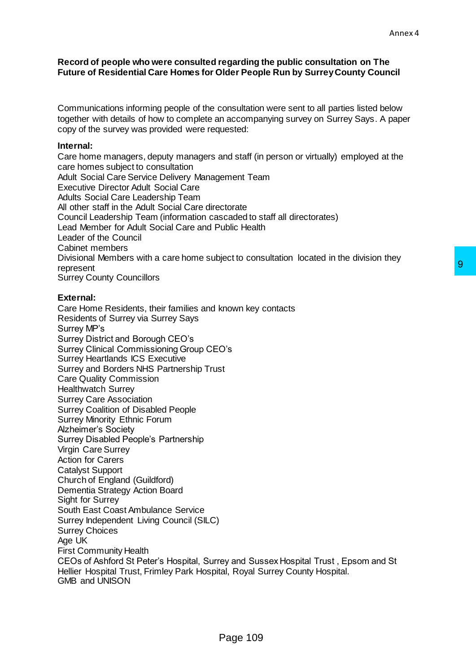## **Record of people who were consulted regarding the public consultation on The Future of Residential Care Homes for Older People Run by Surrey County Council**

Communications informing people of the consultation were sent to all parties listed below together with details of how to complete an accompanying survey on Surrey Says. A paper copy of the survey was provided were requested:

## **Internal:**

Care home managers, deputy managers and staff (in person or virtually) employed at the care homes subject to consultation Adult Social Care Service Delivery Management Team Executive Director Adult Social Care Adults Social Care Leadership Team All other staff in the Adult Social Care directorate Council Leadership Team (information cascaded to staff all directorates) Lead Member for Adult Social Care and Public Health Leader of the Council Cabinet members Divisional Members with a care home subject to consultation located in the division they represent Surrey County Councillors

## **External:**

Care Home Residents, their families and known key contacts Residents of Surrey via Surrey Says Surrey MP's Surrey District and Borough CEO's Surrey Clinical Commissioning Group CEO's Surrey Heartlands ICS Executive Surrey and Borders NHS Partnership Trust Care Quality Commission Healthwatch Surrey Surrey Care Association Surrey Coalition of Disabled People Surrey Minority Ethnic Forum Alzheimer's Society Surrey Disabled People's Partnership Virgin Care Surrey Action for Carers Catalyst Support Church of England (Guildford) Dementia Strategy Action Board Sight for Surrey South East Coast Ambulance Service Surrey Independent Living Council (SILC) Surrey Choices Age UK First Community Health CEOs of Ashford St Peter's Hospital, Surrey and Sussex Hospital Trust , Epsom and St Hellier Hospital Trust, Frimley Park Hospital, Royal Surrey County Hospital. GMB and UNISON Moown key contacts<br>Shown key contacts<br>Shown key contacts<br>Shown Sussex Hospital Trust , Epsom and St<br>Rage 109